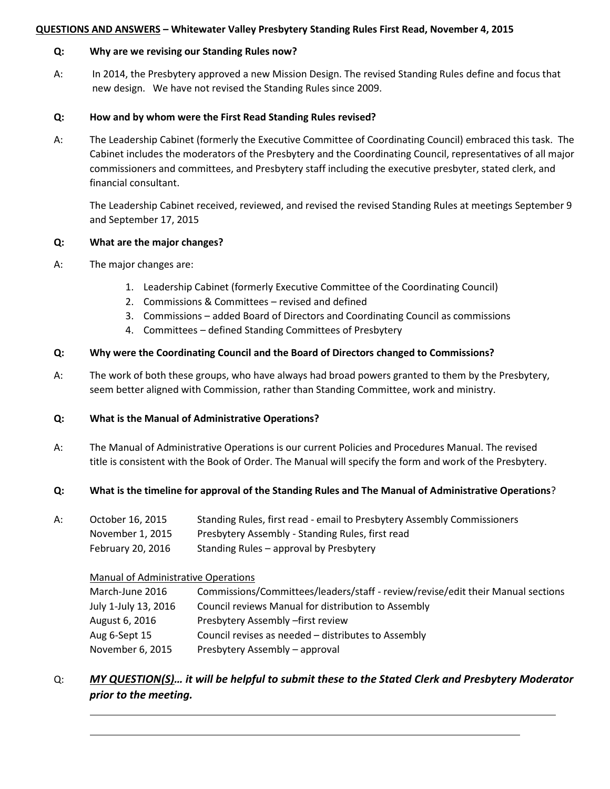#### **QUESTIONS AND ANSWERS – Whitewater Valley Presbytery Standing Rules First Read, November 4, 2015**

#### **Q: Why are we revising our Standing Rules now?**

A: In 2014, the Presbytery approved a new Mission Design. The revised Standing Rules define and focus that new design. We have not revised the Standing Rules since 2009.

#### **Q: How and by whom were the First Read Standing Rules revised?**

A: The Leadership Cabinet (formerly the Executive Committee of Coordinating Council) embraced this task. The Cabinet includes the moderators of the Presbytery and the Coordinating Council, representatives of all major commissioners and committees, and Presbytery staff including the executive presbyter, stated clerk, and financial consultant.

The Leadership Cabinet received, reviewed, and revised the revised Standing Rules at meetings September 9 and September 17, 2015

#### **Q: What are the major changes?**

- A: The major changes are:
	- 1. Leadership Cabinet (formerly Executive Committee of the Coordinating Council)
	- 2. Commissions & Committees revised and defined
	- 3. Commissions added Board of Directors and Coordinating Council as commissions
	- 4. Committees defined Standing Committees of Presbytery

### **Q: Why were the Coordinating Council and the Board of Directors changed to Commissions?**

A: The work of both these groups, who have always had broad powers granted to them by the Presbytery, seem better aligned with Commission, rather than Standing Committee, work and ministry.

### **Q: What is the Manual of Administrative Operations?**

A: The Manual of Administrative Operations is our current Policies and Procedures Manual. The revised title is consistent with the Book of Order. The Manual will specify the form and work of the Presbytery.

### **Q: What is the timeline for approval of the Standing Rules and The Manual of Administrative Operations**?

- A: October 16, 2015 Standing Rules, first read email to Presbytery Assembly Commissioners
	- November 1, 2015 Presbytery Assembly Standing Rules, first read
	- February 20, 2016 Standing Rules approval by Presbytery

#### Manual of Administrative Operations

| March-June 2016      | Commissions/Committees/leaders/staff - review/revise/edit their Manual sections |
|----------------------|---------------------------------------------------------------------------------|
| July 1-July 13, 2016 | Council reviews Manual for distribution to Assembly                             |
| August 6, 2016       | Presbytery Assembly – first review                                              |
| Aug 6-Sept 15        | Council revises as needed – distributes to Assembly                             |
| November 6, 2015     | Presbytery Assembly - approval                                                  |

# Q: *MY QUESTION(S)… it will be helpful to submit these to the Stated Clerk and Presbytery Moderator prior to the meeting.*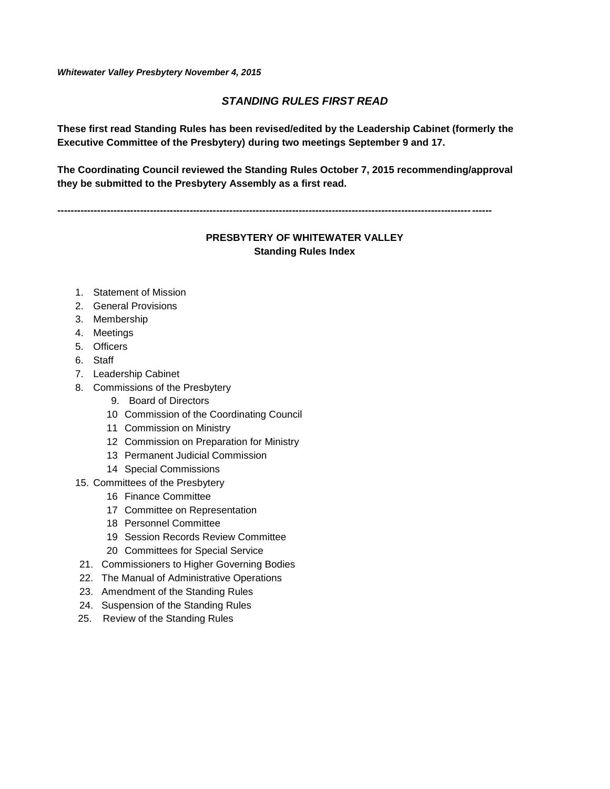*Whitewater Valley Presbytery November 4, 2015*

#### *STANDING RULES FIRST READ*

**These first read Standing Rules has been revised/edited by the Leadership Cabinet (formerly the Executive Committee of the Presbytery) during two meetings September 9 and 17.** 

**The Coordinating Council reviewed the Standing Rules October 7, 2015 recommending/approval they be submitted to the Presbytery Assembly as a first read.** 

**-----------------------------------------------------------------------------------------------------------------------------------**

### **PRESBYTERY OF WHITEWATER VALLEY Standing Rules Index**

- 1. Statement of Mission
- 2. General Provisions
- 3. Membership
- 4. Meetings
- 5. Officers
- 6. Staff
- 7. Leadership Cabinet
- 8. Commissions of the Presbytery
	- 9. Board of Directors
	- 10 Commission of the Coordinating Council
	- 11 Commission on Ministry
	- 12 Commission on Preparation for Ministry
	- 13 Permanent Judicial Commission
	- 14 Special Commissions
- 15. Committees of the Presbytery
	- 16 Finance Committee
	- 17 Committee on Representation
	- 18 Personnel Committee
	- 19 Session Records Review Committee
	- 20 Committees for Special Service
- 21. Commissioners to Higher Governing Bodies
- 22. The Manual of Administrative Operations
- 23. Amendment of the Standing Rules
- 24. Suspension of the Standing Rules
- 25. Review of the Standing Rules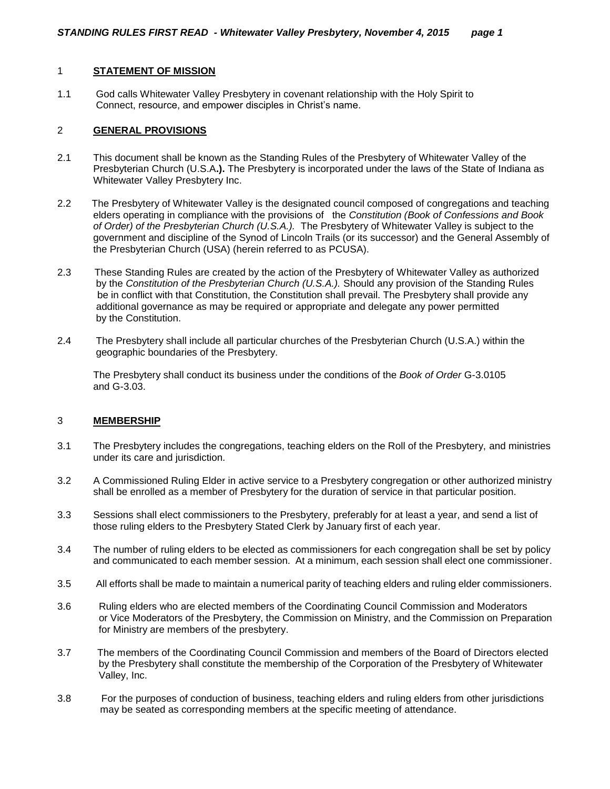#### 1 **STATEMENT OF MISSION**

1.1 God calls Whitewater Valley Presbytery in covenant relationship with the Holy Spirit to Connect, resource, and empower disciples in Christ's name.

#### 2 **GENERAL PROVISIONS**

- 2.1 This document shall be known as the Standing Rules of the Presbytery of Whitewater Valley of the Presbyterian Church (U.S.A**.).** The Presbytery is incorporated under the laws of the State of Indiana as Whitewater Valley Presbytery Inc.
- 2.2 The Presbytery of Whitewater Valley is the designated council composed of congregations and teaching elders operating in compliance with the provisions of the *Constitution (Book of Confessions and Book of Order) of the Presbyterian Church (U.S.A.).* The Presbytery of Whitewater Valley is subject to the government and discipline of the Synod of Lincoln Trails (or its successor) and the General Assembly of the Presbyterian Church (USA) (herein referred to as PCUSA).
- 2.3 These Standing Rules are created by the action of the Presbytery of Whitewater Valley as authorized by the *Constitution of the Presbyterian Church (U.S.A.).* Should any provision of the Standing Rules be in conflict with that Constitution, the Constitution shall prevail. The Presbytery shall provide any additional governance as may be required or appropriate and delegate any power permitted by the Constitution.
- 2.4 The Presbytery shall include all particular churches of the Presbyterian Church (U.S.A.) within the geographic boundaries of the Presbytery.

The Presbytery shall conduct its business under the conditions of the *Book of Order* G-3.0105 and G-3.03.

#### 3 **MEMBERSHIP**

- 3.1 The Presbytery includes the congregations, teaching elders on the Roll of the Presbytery, and ministries under its care and jurisdiction.
- 3.2 A Commissioned Ruling Elder in active service to a Presbytery congregation or other authorized ministry shall be enrolled as a member of Presbytery for the duration of service in that particular position.
- 3.3 Sessions shall elect commissioners to the Presbytery, preferably for at least a year, and send a list of those ruling elders to the Presbytery Stated Clerk by January first of each year.
- 3.4 The number of ruling elders to be elected as commissioners for each congregation shall be set by policy and communicated to each member session. At a minimum, each session shall elect one commissioner.
- 3.5 All efforts shall be made to maintain a numerical parity of teaching elders and ruling elder commissioners.
- 3.6 Ruling elders who are elected members of the Coordinating Council Commission and Moderators or Vice Moderators of the Presbytery, the Commission on Ministry, and the Commission on Preparation for Ministry are members of the presbytery.
- 3.7 The members of the Coordinating Council Commission and members of the Board of Directors elected by the Presbytery shall constitute the membership of the Corporation of the Presbytery of Whitewater Valley, Inc.
- 3.8 For the purposes of conduction of business, teaching elders and ruling elders from other jurisdictions may be seated as corresponding members at the specific meeting of attendance.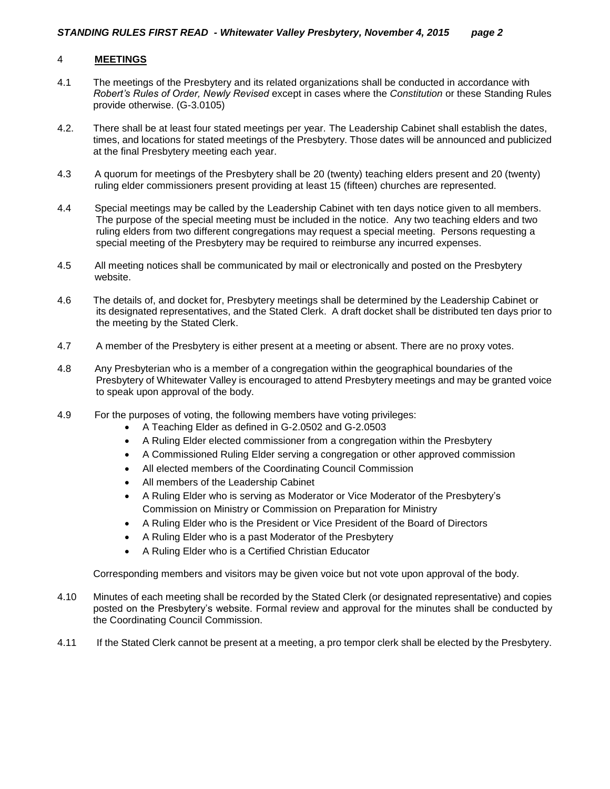#### 4 **MEETINGS**

- 4.1 The meetings of the Presbytery and its related organizations shall be conducted in accordance with *Robert's Rules of Order, Newly Revised* except in cases where the *Constitution* or these Standing Rules provide otherwise. (G-3.0105)
- 4.2. There shall be at least four stated meetings per year. The Leadership Cabinet shall establish the dates, times, and locations for stated meetings of the Presbytery. Those dates will be announced and publicized at the final Presbytery meeting each year.
- 4.3 A quorum for meetings of the Presbytery shall be 20 (twenty) teaching elders present and 20 (twenty) ruling elder commissioners present providing at least 15 (fifteen) churches are represented.
- 4.4 Special meetings may be called by the Leadership Cabinet with ten days notice given to all members. The purpose of the special meeting must be included in the notice. Any two teaching elders and two ruling elders from two different congregations may request a special meeting. Persons requesting a special meeting of the Presbytery may be required to reimburse any incurred expenses.
- 4.5 All meeting notices shall be communicated by mail or electronically and posted on the Presbytery website.
- 4.6 The details of, and docket for, Presbytery meetings shall be determined by the Leadership Cabinet or its designated representatives, and the Stated Clerk. A draft docket shall be distributed ten days prior to the meeting by the Stated Clerk.
- 4.7 A member of the Presbytery is either present at a meeting or absent. There are no proxy votes.
- 4.8 Any Presbyterian who is a member of a congregation within the geographical boundaries of the Presbytery of Whitewater Valley is encouraged to attend Presbytery meetings and may be granted voice to speak upon approval of the body.
- 4.9 For the purposes of voting, the following members have voting privileges:
	- A Teaching Elder as defined in G-2.0502 and G-2.0503
	- A Ruling Elder elected commissioner from a congregation within the Presbytery
	- A Commissioned Ruling Elder serving a congregation or other approved commission
	- All elected members of the Coordinating Council Commission
	- All members of the Leadership Cabinet
	- A Ruling Elder who is serving as Moderator or Vice Moderator of the Presbytery's Commission on Ministry or Commission on Preparation for Ministry
	- A Ruling Elder who is the President or Vice President of the Board of Directors
	- A Ruling Elder who is a past Moderator of the Presbytery
	- A Ruling Elder who is a Certified Christian Educator

Corresponding members and visitors may be given voice but not vote upon approval of the body.

- 4.10 Minutes of each meeting shall be recorded by the Stated Clerk (or designated representative) and copies posted on the Presbytery's website. Formal review and approval for the minutes shall be conducted by the Coordinating Council Commission.
- 4.11 If the Stated Clerk cannot be present at a meeting, a pro tempor clerk shall be elected by the Presbytery.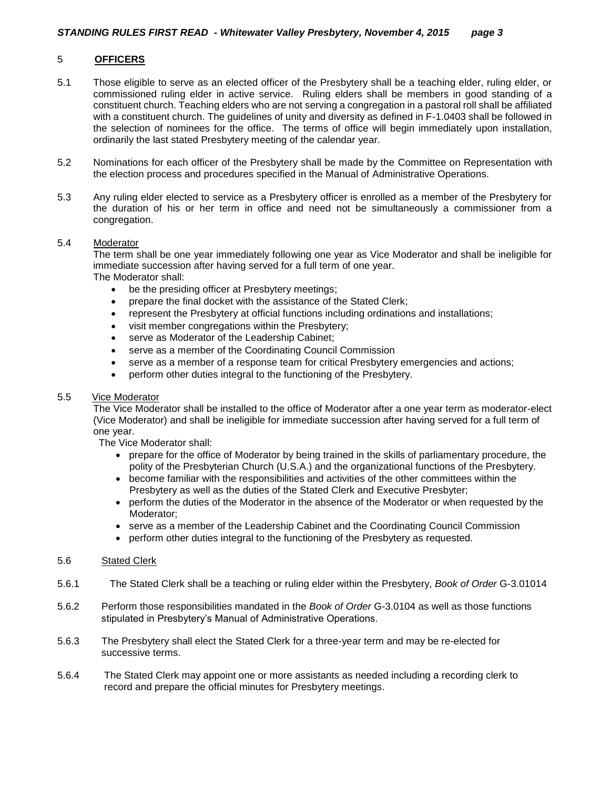#### 5 **OFFICERS**

- 5.1 Those eligible to serve as an elected officer of the Presbytery shall be a teaching elder, ruling elder, or commissioned ruling elder in active service. Ruling elders shall be members in good standing of a constituent church. Teaching elders who are not serving a congregation in a pastoral roll shall be affiliated with a constituent church. The guidelines of unity and diversity as defined in F-1.0403 shall be followed in the selection of nominees for the office. The terms of office will begin immediately upon installation, ordinarily the last stated Presbytery meeting of the calendar year.
- 5.2 Nominations for each officer of the Presbytery shall be made by the Committee on Representation with the election process and procedures specified in the Manual of Administrative Operations.
- 5.3 Any ruling elder elected to service as a Presbytery officer is enrolled as a member of the Presbytery for the duration of his or her term in office and need not be simultaneously a commissioner from a congregation.

#### 5.4 Moderator

The term shall be one year immediately following one year as Vice Moderator and shall be ineligible for immediate succession after having served for a full term of one year. The Moderator shall:

- be the presiding officer at Presbytery meetings;
- prepare the final docket with the assistance of the Stated Clerk;
- represent the Presbytery at official functions including ordinations and installations;
- visit member congregations within the Presbytery;
- serve as Moderator of the Leadership Cabinet;
- serve as a member of the Coordinating Council Commission
- serve as a member of a response team for critical Presbytery emergencies and actions;
- perform other duties integral to the functioning of the Presbytery.

#### 5.5 Vice Moderator

The Vice Moderator shall be installed to the office of Moderator after a one year term as moderator-elect (Vice Moderator) and shall be ineligible for immediate succession after having served for a full term of one year.

The Vice Moderator shall:

- prepare for the office of Moderator by being trained in the skills of parliamentary procedure, the polity of the Presbyterian Church (U.S.A.) and the organizational functions of the Presbytery.
- become familiar with the responsibilities and activities of the other committees within the Presbytery as well as the duties of the Stated Clerk and Executive Presbyter;
- perform the duties of the Moderator in the absence of the Moderator or when requested by the Moderator;
- serve as a member of the Leadership Cabinet and the Coordinating Council Commission
- perform other duties integral to the functioning of the Presbytery as requested.

#### 5.6 Stated Clerk

- 5.6.1 The Stated Clerk shall be a teaching or ruling elder within the Presbytery, *Book of Order* G-3.01014
- 5.6.2 Perform those responsibilities mandated in the *Book of Order* G-3.0104 as well as those functions stipulated in Presbytery's Manual of Administrative Operations.
- 5.6.3 The Presbytery shall elect the Stated Clerk for a three-year term and may be re-elected for successive terms.
- 5.6.4 The Stated Clerk may appoint one or more assistants as needed including a recording clerk to record and prepare the official minutes for Presbytery meetings.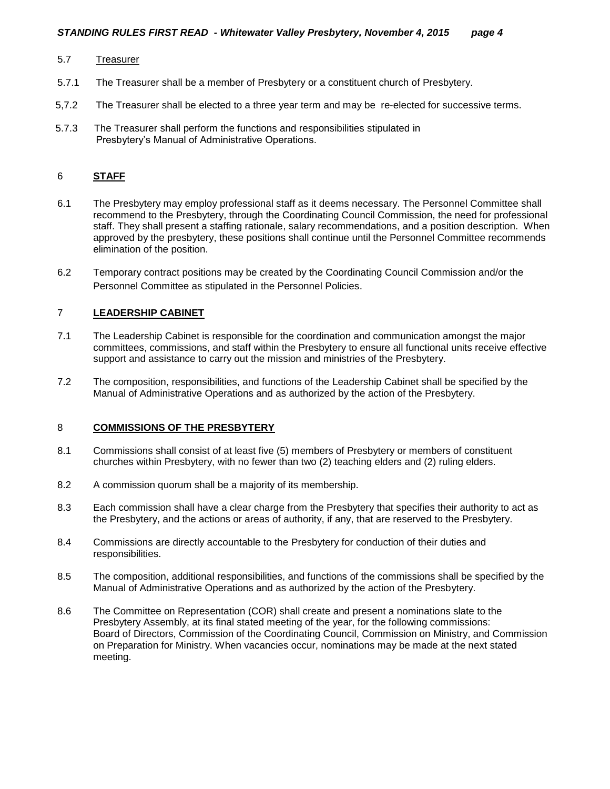#### 5.7 Treasurer

- 5.7.1 The Treasurer shall be a member of Presbytery or a constituent church of Presbytery.
- 5,7.2 The Treasurer shall be elected to a three year term and may be re-elected for successive terms.
- 5.7.3 The Treasurer shall perform the functions and responsibilities stipulated in Presbytery's Manual of Administrative Operations.

#### 6 **STAFF**

- 6.1 The Presbytery may employ professional staff as it deems necessary. The Personnel Committee shall recommend to the Presbytery, through the Coordinating Council Commission, the need for professional staff. They shall present a staffing rationale, salary recommendations, and a position description. When approved by the presbytery, these positions shall continue until the Personnel Committee recommends elimination of the position.
- 6.2 Temporary contract positions may be created by the Coordinating Council Commission and/or the Personnel Committee as stipulated in the Personnel Policies.

#### 7 **LEADERSHIP CABINET**

- 7.1 The Leadership Cabinet is responsible for the coordination and communication amongst the major committees, commissions, and staff within the Presbytery to ensure all functional units receive effective support and assistance to carry out the mission and ministries of the Presbytery.
- 7.2 The composition, responsibilities, and functions of the Leadership Cabinet shall be specified by the Manual of Administrative Operations and as authorized by the action of the Presbytery.

#### 8 **COMMISSIONS OF THE PRESBYTERY**

- 8.1 Commissions shall consist of at least five (5) members of Presbytery or members of constituent churches within Presbytery, with no fewer than two (2) teaching elders and (2) ruling elders.
- 8.2 A commission quorum shall be a majority of its membership.
- 8.3 Each commission shall have a clear charge from the Presbytery that specifies their authority to act as the Presbytery, and the actions or areas of authority, if any, that are reserved to the Presbytery.
- 8.4 Commissions are directly accountable to the Presbytery for conduction of their duties and responsibilities.
- 8.5 The composition, additional responsibilities, and functions of the commissions shall be specified by the Manual of Administrative Operations and as authorized by the action of the Presbytery.
- 8.6 The Committee on Representation (COR) shall create and present a nominations slate to the Presbytery Assembly, at its final stated meeting of the year, for the following commissions: Board of Directors, Commission of the Coordinating Council, Commission on Ministry, and Commission on Preparation for Ministry. When vacancies occur, nominations may be made at the next stated meeting.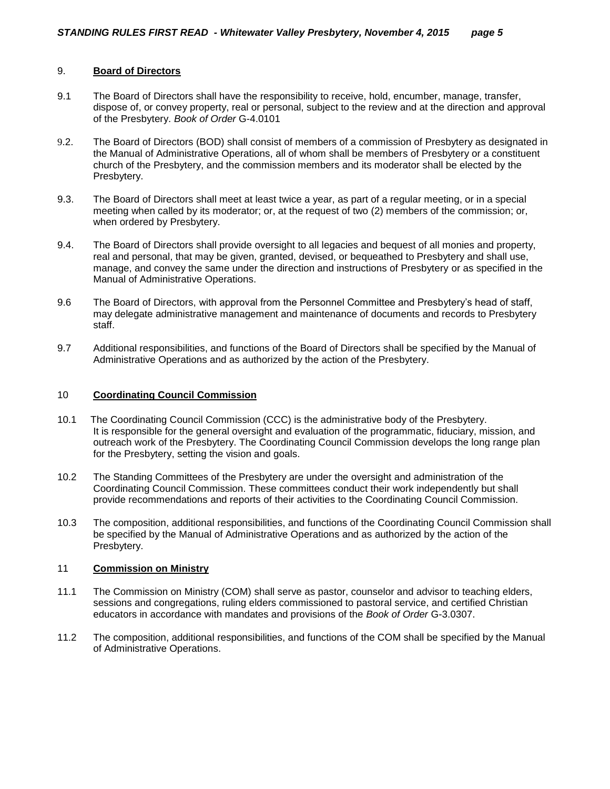#### 9. **Board of Directors**

- 9.1 The Board of Directors shall have the responsibility to receive, hold, encumber, manage, transfer, dispose of, or convey property, real or personal, subject to the review and at the direction and approval of the Presbytery. *Book of Order* G-4.0101
- 9.2. The Board of Directors (BOD) shall consist of members of a commission of Presbytery as designated in the Manual of Administrative Operations, all of whom shall be members of Presbytery or a constituent church of the Presbytery, and the commission members and its moderator shall be elected by the Presbytery.
- 9.3. The Board of Directors shall meet at least twice a year, as part of a regular meeting, or in a special meeting when called by its moderator; or, at the request of two (2) members of the commission; or, when ordered by Presbytery.
- 9.4. The Board of Directors shall provide oversight to all legacies and bequest of all monies and property, real and personal, that may be given, granted, devised, or bequeathed to Presbytery and shall use, manage, and convey the same under the direction and instructions of Presbytery or as specified in the Manual of Administrative Operations.
- 9.6 The Board of Directors, with approval from the Personnel Committee and Presbytery's head of staff, may delegate administrative management and maintenance of documents and records to Presbytery staff.
- 9.7 Additional responsibilities, and functions of the Board of Directors shall be specified by the Manual of Administrative Operations and as authorized by the action of the Presbytery.

#### 10 **Coordinating Council Commission**

- 10.1 The Coordinating Council Commission (CCC) is the administrative body of the Presbytery. It is responsible for the general oversight and evaluation of the programmatic, fiduciary, mission, and outreach work of the Presbytery. The Coordinating Council Commission develops the long range plan for the Presbytery, setting the vision and goals.
- 10.2 The Standing Committees of the Presbytery are under the oversight and administration of the Coordinating Council Commission. These committees conduct their work independently but shall provide recommendations and reports of their activities to the Coordinating Council Commission.
- 10.3 The composition, additional responsibilities, and functions of the Coordinating Council Commission shall be specified by the Manual of Administrative Operations and as authorized by the action of the Presbytery.

#### 11 **Commission on Ministry**

- 11.1 The Commission on Ministry (COM) shall serve as pastor, counselor and advisor to teaching elders, sessions and congregations, ruling elders commissioned to pastoral service, and certified Christian educators in accordance with mandates and provisions of the *Book of Order* G-3.0307.
- 11.2 The composition, additional responsibilities, and functions of the COM shall be specified by the Manual of Administrative Operations.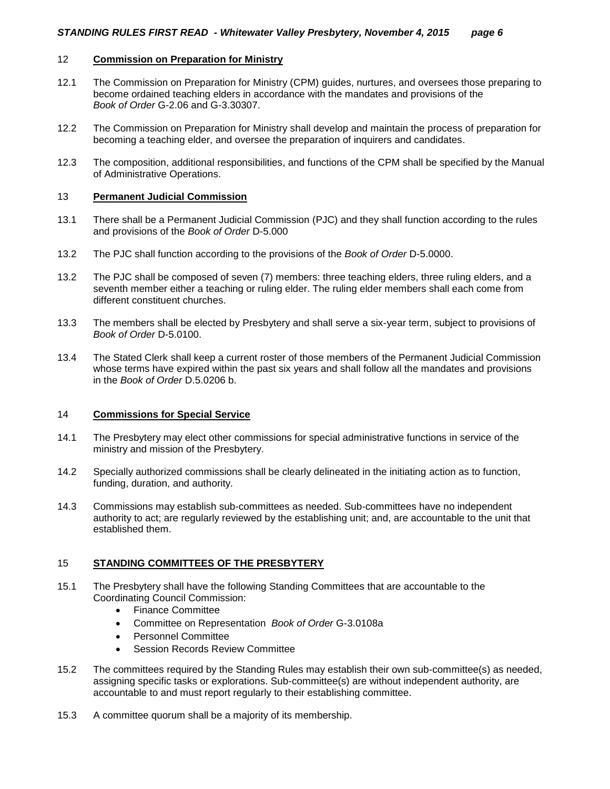#### 12 **Commission on Preparation for Ministry**

- 12.1 The Commission on Preparation for Ministry (CPM) guides, nurtures, and oversees those preparing to become ordained teaching elders in accordance with the mandates and provisions of the *Book of Order* G-2.06 and G-3.30307.
- 12.2 The Commission on Preparation for Ministry shall develop and maintain the process of preparation for becoming a teaching elder, and oversee the preparation of inquirers and candidates.
- 12.3 The composition, additional responsibilities, and functions of the CPM shall be specified by the Manual of Administrative Operations.

#### 13 **Permanent Judicial Commission**

- 13.1 There shall be a Permanent Judicial Commission (PJC) and they shall function according to the rules and provisions of the *Book of Order* D-5.000
- 13.2 The PJC shall function according to the provisions of the *Book of Order* D-5.0000.
- 13.2 The PJC shall be composed of seven (7) members: three teaching elders, three ruling elders, and a seventh member either a teaching or ruling elder. The ruling elder members shall each come from different constituent churches.
- 13.3 The members shall be elected by Presbytery and shall serve a six-year term, subject to provisions of *Book of Order* D-5.0100.
- 13.4 The Stated Clerk shall keep a current roster of those members of the Permanent Judicial Commission whose terms have expired within the past six years and shall follow all the mandates and provisions in the *Book of Order* D.5.0206 b.

#### 14 **Commissions for Special Service**

- 14.1 The Presbytery may elect other commissions for special administrative functions in service of the ministry and mission of the Presbytery.
- 14.2 Specially authorized commissions shall be clearly delineated in the initiating action as to function, funding, duration, and authority.
- 14.3 Commissions may establish sub-committees as needed. Sub-committees have no independent authority to act; are regularly reviewed by the establishing unit; and, are accountable to the unit that established them.

#### 15 **STANDING COMMITTEES OF THE PRESBYTERY**

- 15.1 The Presbytery shall have the following Standing Committees that are accountable to the Coordinating Council Commission:
	- Finance Committee
	- Committee on Representation *Book of Order* G-3.0108a
	- Personnel Committee
	- Session Records Review Committee
- 15.2 The committees required by the Standing Rules may establish their own sub-committee(s) as needed, assigning specific tasks or explorations. Sub-committee(s) are without independent authority, are accountable to and must report regularly to their establishing committee.
- 15.3 A committee quorum shall be a majority of its membership.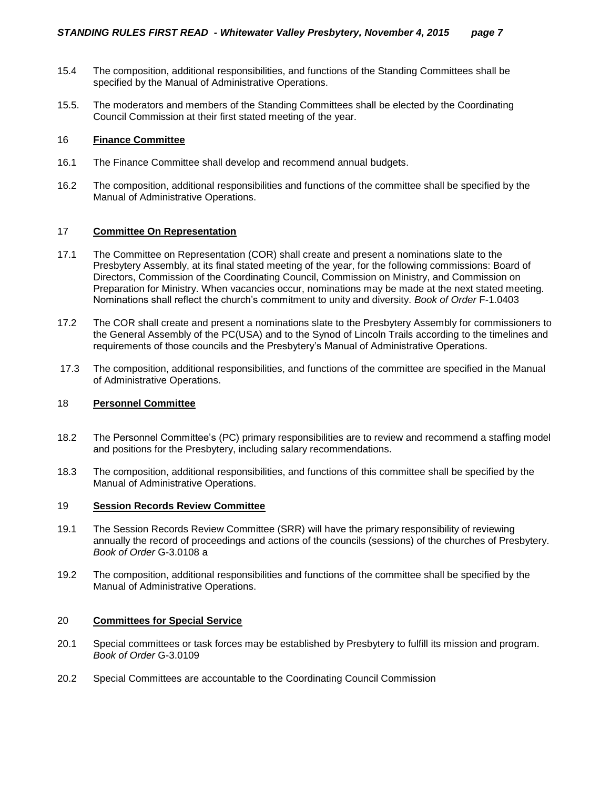- 15.4 The composition, additional responsibilities, and functions of the Standing Committees shall be specified by the Manual of Administrative Operations.
- 15.5. The moderators and members of the Standing Committees shall be elected by the Coordinating Council Commission at their first stated meeting of the year.

#### 16 **Finance Committee**

- 16.1 The Finance Committee shall develop and recommend annual budgets.
- 16.2 The composition, additional responsibilities and functions of the committee shall be specified by the Manual of Administrative Operations.

#### 17 **Committee On Representation**

- 17.1 The Committee on Representation (COR) shall create and present a nominations slate to the Presbytery Assembly, at its final stated meeting of the year, for the following commissions: Board of Directors, Commission of the Coordinating Council, Commission on Ministry, and Commission on Preparation for Ministry. When vacancies occur, nominations may be made at the next stated meeting. Nominations shall reflect the church's commitment to unity and diversity. *Book of Order* F-1.0403
- 17.2 The COR shall create and present a nominations slate to the Presbytery Assembly for commissioners to the General Assembly of the PC(USA) and to the Synod of Lincoln Trails according to the timelines and requirements of those councils and the Presbytery's Manual of Administrative Operations.
- 17.3 The composition, additional responsibilities, and functions of the committee are specified in the Manual of Administrative Operations.

#### 18 **Personnel Committee**

- 18.2 The Personnel Committee's (PC) primary responsibilities are to review and recommend a staffing model and positions for the Presbytery, including salary recommendations.
- 18.3 The composition, additional responsibilities, and functions of this committee shall be specified by the Manual of Administrative Operations.

#### 19 **Session Records Review Committee**

- 19.1 The Session Records Review Committee (SRR) will have the primary responsibility of reviewing annually the record of proceedings and actions of the councils (sessions) of the churches of Presbytery. *Book of Order* G-3.0108 a
- 19.2 The composition, additional responsibilities and functions of the committee shall be specified by the Manual of Administrative Operations.

#### 20 **Committees for Special Service**

- 20.1 Special committees or task forces may be established by Presbytery to fulfill its mission and program. *Book of Order* G-3.0109
- 20.2 Special Committees are accountable to the Coordinating Council Commission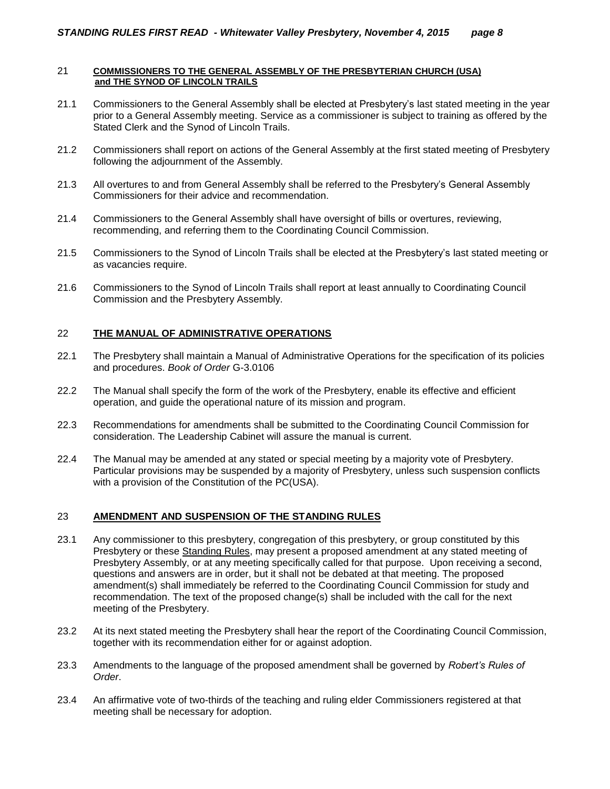#### 21 **COMMISSIONERS TO THE GENERAL ASSEMBLY OF THE PRESBYTERIAN CHURCH (USA) and THE SYNOD OF LINCOLN TRAILS**

- 21.1 Commissioners to the General Assembly shall be elected at Presbytery's last stated meeting in the year prior to a General Assembly meeting. Service as a commissioner is subject to training as offered by the Stated Clerk and the Synod of Lincoln Trails.
- 21.2 Commissioners shall report on actions of the General Assembly at the first stated meeting of Presbytery following the adjournment of the Assembly.
- 21.3 All overtures to and from General Assembly shall be referred to the Presbytery's General Assembly Commissioners for their advice and recommendation.
- 21.4 Commissioners to the General Assembly shall have oversight of bills or overtures, reviewing, recommending, and referring them to the Coordinating Council Commission.
- 21.5 Commissioners to the Synod of Lincoln Trails shall be elected at the Presbytery's last stated meeting or as vacancies require.
- 21.6 Commissioners to the Synod of Lincoln Trails shall report at least annually to Coordinating Council Commission and the Presbytery Assembly.

#### 22 **THE MANUAL OF ADMINISTRATIVE OPERATIONS**

- 22.1 The Presbytery shall maintain a Manual of Administrative Operations for the specification of its policies and procedures. *Book of Order* G-3.0106
- 22.2 The Manual shall specify the form of the work of the Presbytery, enable its effective and efficient operation, and guide the operational nature of its mission and program.
- 22.3 Recommendations for amendments shall be submitted to the Coordinating Council Commission for consideration. The Leadership Cabinet will assure the manual is current.
- 22.4 The Manual may be amended at any stated or special meeting by a majority vote of Presbytery. Particular provisions may be suspended by a majority of Presbytery, unless such suspension conflicts with a provision of the Constitution of the PC(USA).

#### 23 **AMENDMENT AND SUSPENSION OF THE STANDING RULES**

- 23.1 Any commissioner to this presbytery, congregation of this presbytery, or group constituted by this Presbytery or these Standing Rules, may present a proposed amendment at any stated meeting of Presbytery Assembly, or at any meeting specifically called for that purpose. Upon receiving a second, questions and answers are in order, but it shall not be debated at that meeting. The proposed amendment(s) shall immediately be referred to the Coordinating Council Commission for study and recommendation. The text of the proposed change(s) shall be included with the call for the next meeting of the Presbytery.
- 23.2 At its next stated meeting the Presbytery shall hear the report of the Coordinating Council Commission, together with its recommendation either for or against adoption.
- 23.3 Amendments to the language of the proposed amendment shall be governed by *Robert's Rules of Order*.
- 23.4 An affirmative vote of two-thirds of the teaching and ruling elder Commissioners registered at that meeting shall be necessary for adoption.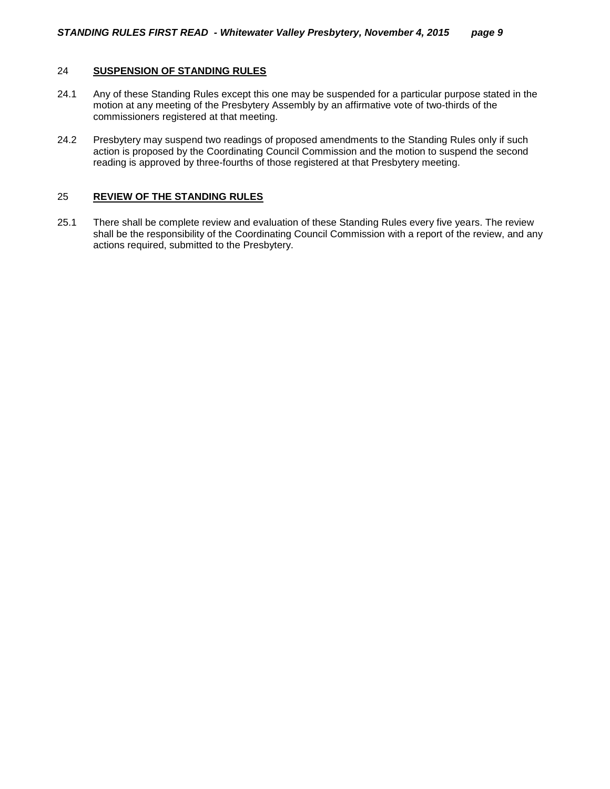#### 24 **SUSPENSION OF STANDING RULES**

- 24.1 Any of these Standing Rules except this one may be suspended for a particular purpose stated in the motion at any meeting of the Presbytery Assembly by an affirmative vote of two-thirds of the commissioners registered at that meeting.
- 24.2 Presbytery may suspend two readings of proposed amendments to the Standing Rules only if such action is proposed by the Coordinating Council Commission and the motion to suspend the second reading is approved by three-fourths of those registered at that Presbytery meeting.

#### 25 **REVIEW OF THE STANDING RULES**

25.1 There shall be complete review and evaluation of these Standing Rules every five years. The review shall be the responsibility of the Coordinating Council Commission with a report of the review, and any actions required, submitted to the Presbytery.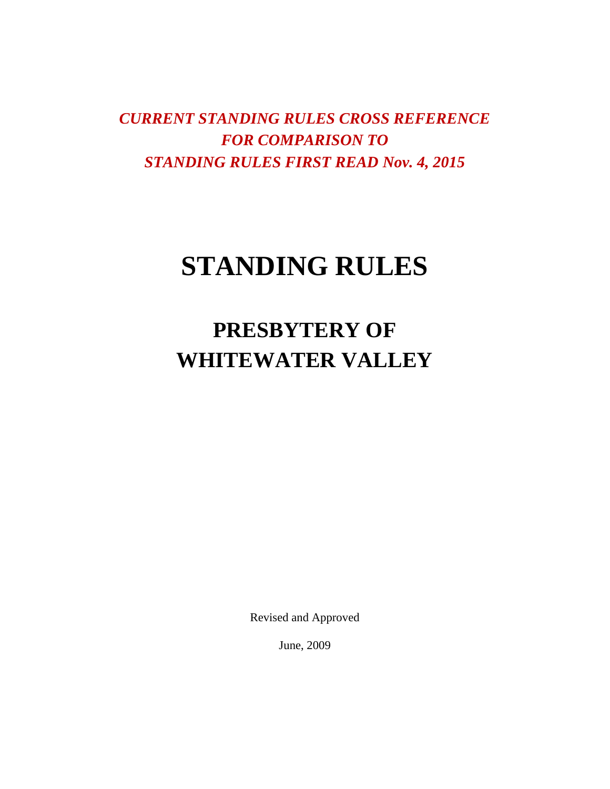*CURRENT STANDING RULES CROSS REFERENCE FOR COMPARISON TO STANDING RULES FIRST READ Nov. 4, 2015*

# **STANDING RULES**

**PRESBYTERY OF WHITEWATER VALLEY**

Revised and Approved

June, 2009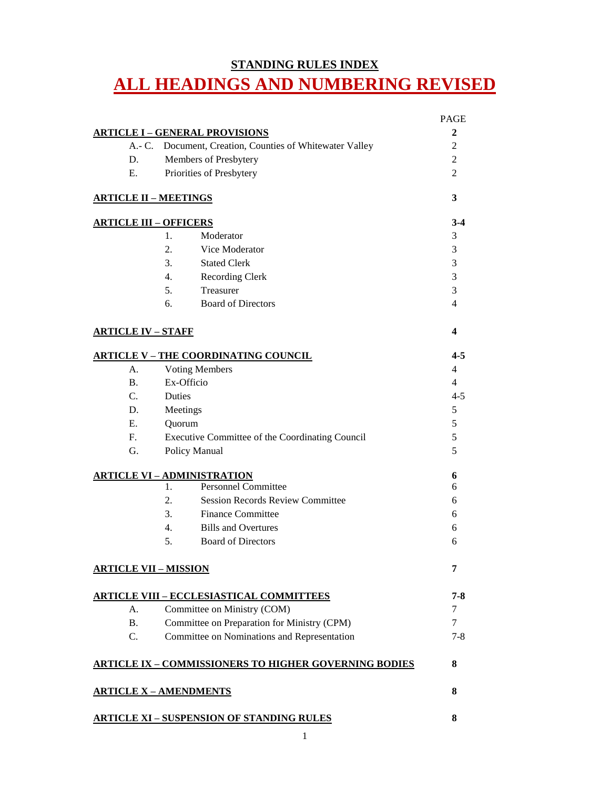# **STANDING RULES INDEX ALL HEADINGS AND NUMBERING REVISED**

|                                |                                                              | <b>PAGE</b> |  |  |
|--------------------------------|--------------------------------------------------------------|-------------|--|--|
|                                | <b>ARTICLE I - GENERAL PROVISIONS</b>                        | 2           |  |  |
| $A - C$ .                      | Document, Creation, Counties of Whitewater Valley            |             |  |  |
| D.                             | Members of Presbytery                                        |             |  |  |
| Ε.                             | Priorities of Presbytery                                     |             |  |  |
| <b>ARTICLE II - MEETINGS</b>   |                                                              | 3           |  |  |
| <u> ARTICLE III – OFFICERS</u> |                                                              | $3-4$       |  |  |
|                                | Moderator<br>1.                                              | 3           |  |  |
|                                | $\overline{2}$ .<br>Vice Moderator                           | 3           |  |  |
|                                | 3.<br><b>Stated Clerk</b>                                    | 3           |  |  |
|                                | 4.<br><b>Recording Clerk</b>                                 | 3           |  |  |
|                                | 5.<br>Treasurer                                              | 3           |  |  |
|                                | 6.<br><b>Board of Directors</b>                              | 4           |  |  |
| <b>ARTICLE IV - STAFF</b>      |                                                              | 4           |  |  |
|                                | <b>ARTICLE V - THE COORDINATING COUNCIL</b>                  | $4 - 5$     |  |  |
| A.                             | <b>Voting Members</b>                                        | 4           |  |  |
| B.                             | Ex-Officio                                                   |             |  |  |
| C.                             | Duties                                                       |             |  |  |
| D.                             | Meetings                                                     |             |  |  |
| $E_{\cdot}$                    | Quorum                                                       |             |  |  |
| $F_{\cdot}$                    | Executive Committee of the Coordinating Council              |             |  |  |
| G.                             | Policy Manual                                                |             |  |  |
|                                | <b>ARTICLE VI - ADMINISTRATION</b>                           | 6           |  |  |
|                                | <b>Personnel Committee</b><br>1.                             | 6           |  |  |
|                                | 2.<br><b>Session Records Review Committee</b>                | 6           |  |  |
|                                | 3.<br><b>Finance Committee</b>                               | 6           |  |  |
|                                | 4.<br><b>Bills and Overtures</b>                             | 6           |  |  |
|                                | 5.<br><b>Board of Directors</b>                              | 6           |  |  |
| <b>ARTICLE VII - MISSION</b>   |                                                              | 7           |  |  |
|                                | <u> ARTICLE VIII – ECCLESIASTICAL COMMITTEES</u>             | 7-8         |  |  |
| А.                             | Committee on Ministry (COM)                                  | 7           |  |  |
| <b>B.</b>                      | Committee on Preparation for Ministry (CPM)                  |             |  |  |
| C.                             | Committee on Nominations and Representation                  |             |  |  |
|                                | <b>ARTICLE IX - COMMISSIONERS TO HIGHER GOVERNING BODIES</b> | 8           |  |  |
|                                | <u> ARTICLE X – AMENDMENTS</u>                               | 8           |  |  |
|                                | <b>ARTICLE XI - SUSPENSION OF STANDING RULES</b>             | 8           |  |  |
|                                |                                                              |             |  |  |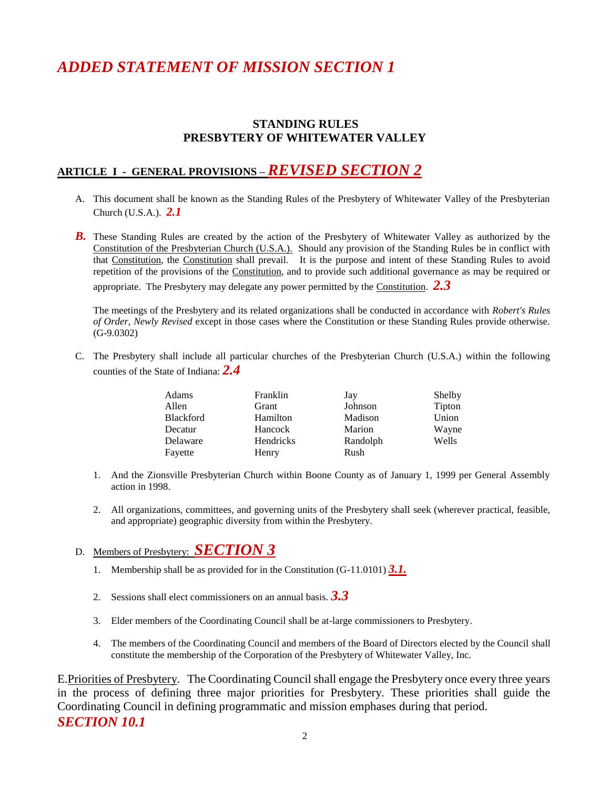# *ADDED STATEMENT OF MISSION SECTION 1*

## **STANDING RULES PRESBYTERY OF WHITEWATER VALLEY**

# **ARTICLE I - GENERAL PROVISIONS –** *REVISED SECTION 2*

- A. This document shall be known as the Standing Rules of the Presbytery of Whitewater Valley of the Presbyterian Church (U.S.A.). *2.1*
- **B.** These Standing Rules are created by the action of the Presbytery of Whitewater Valley as authorized by the Constitution of the Presbyterian Church (U.S.A.). Should any provision of the Standing Rules be in conflict with that Constitution, the Constitution shall prevail. It is the purpose and intent of these Standing Rules to avoid repetition of the provisions of the Constitution, and to provide such additional governance as may be required or appropriate. The Presbytery may delegate any power permitted by the Constitution. *2.3*

The meetings of the Presbytery and its related organizations shall be conducted in accordance with *Robert's Rules of Order, Newly Revised* except in those cases where the Constitution or these Standing Rules provide otherwise. (G-9.0302)

C. The Presbytery shall include all particular churches of the Presbyterian Church (U.S.A.) within the following counties of the State of Indiana: *2.4*

| Adams            | Franklin  | Jay      | Shelby |
|------------------|-----------|----------|--------|
| Allen            | Grant     | Johnson  | Tipton |
| <b>Blackford</b> | Hamilton  | Madison  | Union  |
| Decatur          | Hancock   | Marion   | Wayne  |
| Delaware         | Hendricks | Randolph | Wells  |
| Fayette          | Henry     | Rush     |        |

- 1. And the Zionsville Presbyterian Church within Boone County as of January 1, 1999 per General Assembly action in 1998.
- 2. All organizations, committees, and governing units of the Presbytery shall seek (wherever practical, feasible, and appropriate) geographic diversity from within the Presbytery.

### D. Members of Presbytery: *SECTION 3*

- 1. Membership shall be as provided for in the Constitution (G-11.0101) *3.1.*
- 2. Sessions shall elect commissioners on an annual basis. *3.3*
- 3. Elder members of the Coordinating Council shall be at-large commissioners to Presbytery.
- 4. The members of the Coordinating Council and members of the Board of Directors elected by the Council shall constitute the membership of the Corporation of the Presbytery of Whitewater Valley, Inc.

E.Priorities of Presbytery. The Coordinating Council shall engage the Presbytery once every three years in the process of defining three major priorities for Presbytery. These priorities shall guide the Coordinating Council in defining programmatic and mission emphases during that period. *SECTION 10.1*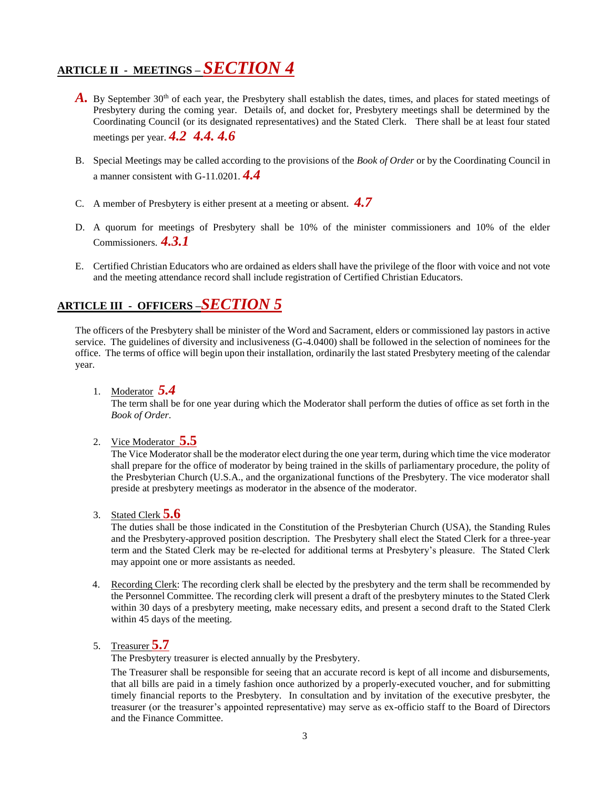# **ARTICLE II - MEETINGS –** *SECTION 4*

- A. By September 30<sup>th</sup> of each year, the Presbytery shall establish the dates, times, and places for stated meetings of Presbytery during the coming year. Details of, and docket for, Presbytery meetings shall be determined by the Coordinating Council (or its designated representatives) and the Stated Clerk. There shall be at least four stated meetings per year. *4.2 4.4. 4.6*
- B. Special Meetings may be called according to the provisions of the *Book of Order* or by the Coordinating Council in a manner consistent with G-11.0201. *4.4*
- C. A member of Presbytery is either present at a meeting or absent. *4.7*
- D. A quorum for meetings of Presbytery shall be 10% of the minister commissioners and 10% of the elder Commissioners. *4.3.1*
- E. Certified Christian Educators who are ordained as elders shall have the privilege of the floor with voice and not vote and the meeting attendance record shall include registration of Certified Christian Educators.

# **ARTICLE III - OFFICERS –***SECTION 5*

The officers of the Presbytery shall be minister of the Word and Sacrament, elders or commissioned lay pastors in active service. The guidelines of diversity and inclusiveness (G-4.0400) shall be followed in the selection of nominees for the office. The terms of office will begin upon their installation, ordinarily the last stated Presbytery meeting of the calendar year.

1. Moderator *5.4*

The term shall be for one year during which the Moderator shall perform the duties of office as set forth in the *Book of Order*.

2. Vice Moderator **5.5**

The Vice Moderator shall be the moderator elect during the one year term, during which time the vice moderator shall prepare for the office of moderator by being trained in the skills of parliamentary procedure, the polity of the Presbyterian Church (U.S.A., and the organizational functions of the Presbytery. The vice moderator shall preside at presbytery meetings as moderator in the absence of the moderator.

3. Stated Clerk **5.6**

The duties shall be those indicated in the Constitution of the Presbyterian Church (USA), the Standing Rules and the Presbytery-approved position description. The Presbytery shall elect the Stated Clerk for a three-year term and the Stated Clerk may be re-elected for additional terms at Presbytery's pleasure. The Stated Clerk may appoint one or more assistants as needed.

- 4. Recording Clerk: The recording clerk shall be elected by the presbytery and the term shall be recommended by the Personnel Committee. The recording clerk will present a draft of the presbytery minutes to the Stated Clerk within 30 days of a presbytery meeting, make necessary edits, and present a second draft to the Stated Clerk within 45 days of the meeting.
- 5. Treasurer **5.7**

The Presbytery treasurer is elected annually by the Presbytery.

The Treasurer shall be responsible for seeing that an accurate record is kept of all income and disbursements, that all bills are paid in a timely fashion once authorized by a properly-executed voucher, and for submitting timely financial reports to the Presbytery. In consultation and by invitation of the executive presbyter, the treasurer (or the treasurer's appointed representative) may serve as ex-officio staff to the Board of Directors and the Finance Committee.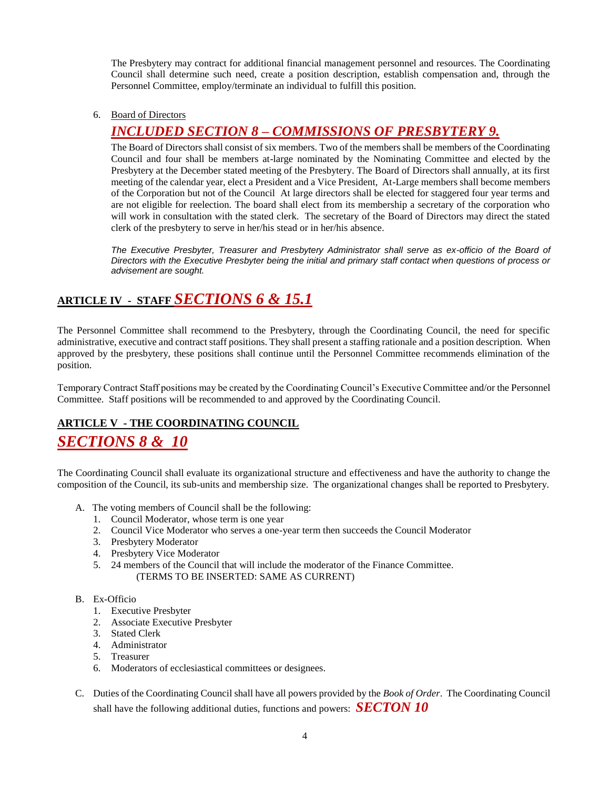The Presbytery may contract for additional financial management personnel and resources. The Coordinating Council shall determine such need, create a position description, establish compensation and, through the Personnel Committee, employ/terminate an individual to fulfill this position.

6. Board of Directors

# *INCLUDED SECTION 8 – COMMISSIONS OF PRESBYTERY 9.*

The Board of Directors shall consist of six members. Two of the members shall be members of the Coordinating Council and four shall be members at-large nominated by the Nominating Committee and elected by the Presbytery at the December stated meeting of the Presbytery. The Board of Directors shall annually, at its first meeting of the calendar year, elect a President and a Vice President, At-Large members shall become members of the Corporation but not of the Council At large directors shall be elected for staggered four year terms and are not eligible for reelection. The board shall elect from its membership a secretary of the corporation who will work in consultation with the stated clerk. The secretary of the Board of Directors may direct the stated clerk of the presbytery to serve in her/his stead or in her/his absence.

*The Executive Presbyter, Treasurer and Presbytery Administrator shall serve as ex-officio of the Board of Directors with the Executive Presbyter being the initial and primary staff contact when questions of process or advisement are sought.* 

# **ARTICLE IV - STAFF** *SECTIONS 6 & 15.1*

The Personnel Committee shall recommend to the Presbytery, through the Coordinating Council, the need for specific administrative, executive and contract staff positions. They shall present a staffing rationale and a position description. When approved by the presbytery, these positions shall continue until the Personnel Committee recommends elimination of the position.

Temporary Contract Staff positions may be created by the Coordinating Council's Executive Committee and/or the Personnel Committee. Staff positions will be recommended to and approved by the Coordinating Council.

### **ARTICLE V - THE COORDINATING COUNCIL**

# *SECTIONS 8 & 10*

The Coordinating Council shall evaluate its organizational structure and effectiveness and have the authority to change the composition of the Council, its sub-units and membership size. The organizational changes shall be reported to Presbytery.

- A. The voting members of Council shall be the following:
	- 1. Council Moderator, whose term is one year
	- 2. Council Vice Moderator who serves a one-year term then succeeds the Council Moderator
	- 3. Presbytery Moderator
	- 4. Presbytery Vice Moderator
	- 5. 24 members of the Council that will include the moderator of the Finance Committee. (TERMS TO BE INSERTED: SAME AS CURRENT)

#### B. Ex-Officio

- 1. Executive Presbyter
- 2. Associate Executive Presbyter
- 3. Stated Clerk
- 4. Administrator
- 5. Treasurer
- 6. Moderators of ecclesiastical committees or designees.
- C. Duties of the Coordinating Council shall have all powers provided by the *Book of Order*. The Coordinating Council shall have the following additional duties, functions and powers: *SECTON 10*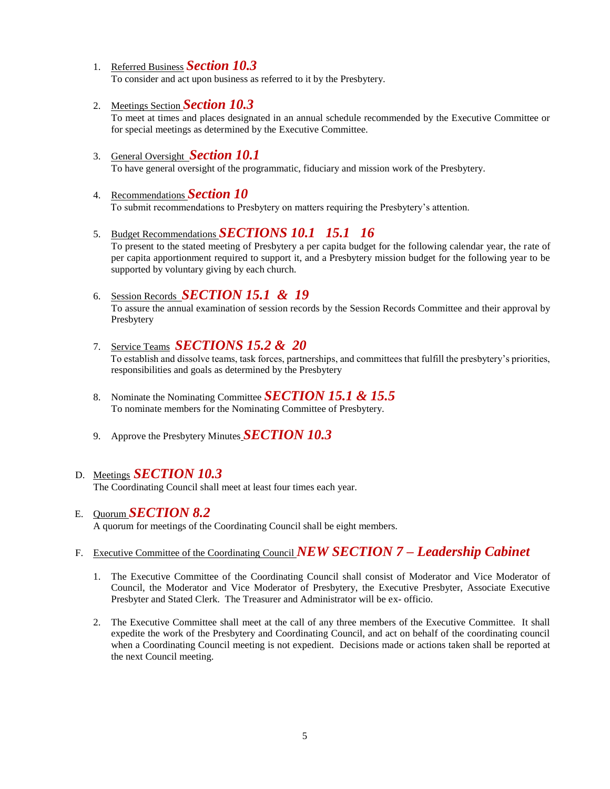- 1. Referred Business *Section 10.3* To consider and act upon business as referred to it by the Presbytery.
- 2. Meetings Section *Section 10.3* To meet at times and places designated in an annual schedule recommended by the Executive Committee or for special meetings as determined by the Executive Committee.
- 3. General Oversight *Section 10.1* To have general oversight of the programmatic, fiduciary and mission work of the Presbytery.
- 4. Recommendations *Section 10* To submit recommendations to Presbytery on matters requiring the Presbytery's attention.
- 5. Budget Recommendations *SECTIONS 10.1 15.1 16*

To present to the stated meeting of Presbytery a per capita budget for the following calendar year, the rate of per capita apportionment required to support it, and a Presbytery mission budget for the following year to be supported by voluntary giving by each church.

6. Session Records *SECTION 15.1 & 19*

To assure the annual examination of session records by the Session Records Committee and their approval by Presbytery

7. Service Teams *SECTIONS 15.2 & 20*

 To establish and dissolve teams, task forces, partnerships, and committees that fulfill the presbytery's priorities, responsibilities and goals as determined by the Presbytery

- 8. Nominate the Nominating Committee *SECTION 15.1 & 15.5* To nominate members for the Nominating Committee of Presbytery.
- 9. Approve the Presbytery Minutes *SECTION 10.3*

### D. Meetings *SECTION 10.3*

The Coordinating Council shall meet at least four times each year.

#### E. Quorum *SECTION 8.2*

A quorum for meetings of the Coordinating Council shall be eight members.

# F. Executive Committee of the Coordinating Council *NEW SECTION 7 – Leadership Cabinet*

- 1. The Executive Committee of the Coordinating Council shall consist of Moderator and Vice Moderator of Council, the Moderator and Vice Moderator of Presbytery, the Executive Presbyter, Associate Executive Presbyter and Stated Clerk. The Treasurer and Administrator will be ex- officio.
- 2. The Executive Committee shall meet at the call of any three members of the Executive Committee. It shall expedite the work of the Presbytery and Coordinating Council, and act on behalf of the coordinating council when a Coordinating Council meeting is not expedient. Decisions made or actions taken shall be reported at the next Council meeting.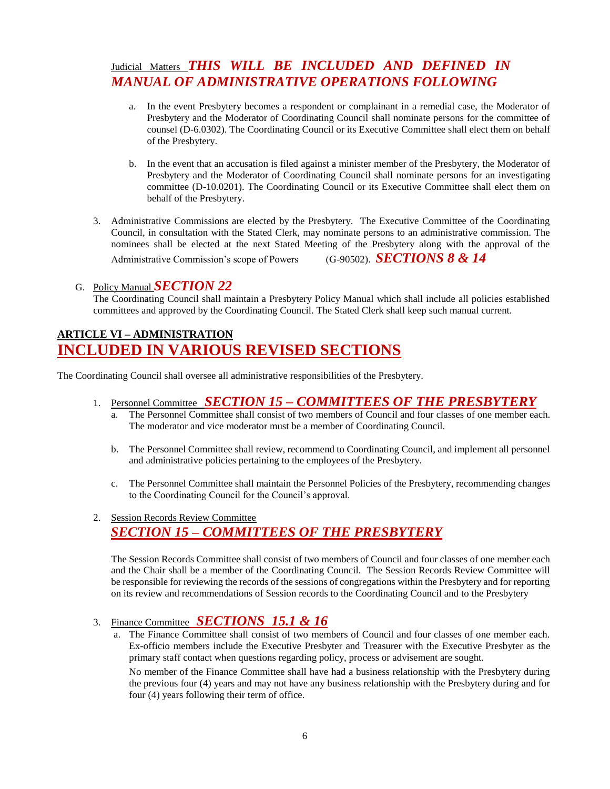# Judicial Matters **THIS WILL BE INCLUDED AND DEFINED IN** *MANUAL OF ADMINISTRATIVE OPERATIONS FOLLOWING*

- a. In the event Presbytery becomes a respondent or complainant in a remedial case, the Moderator of Presbytery and the Moderator of Coordinating Council shall nominate persons for the committee of counsel (D-6.0302). The Coordinating Council or its Executive Committee shall elect them on behalf of the Presbytery.
- b. In the event that an accusation is filed against a minister member of the Presbytery, the Moderator of Presbytery and the Moderator of Coordinating Council shall nominate persons for an investigating committee (D-10.0201). The Coordinating Council or its Executive Committee shall elect them on behalf of the Presbytery.
- 3. Administrative Commissions are elected by the Presbytery. The Executive Committee of the Coordinating Council, in consultation with the Stated Clerk, may nominate persons to an administrative commission. The nominees shall be elected at the next Stated Meeting of the Presbytery along with the approval of the Administrative Commission's scope of Powers (G-90502). *SECTIONS 8 & 14*

#### G. Policy Manual *SECTION 22*

The Coordinating Council shall maintain a Presbytery Policy Manual which shall include all policies established committees and approved by the Coordinating Council. The Stated Clerk shall keep such manual current.

# **ARTICLE VI – ADMINISTRATION INCLUDED IN VARIOUS REVISED SECTIONS**

The Coordinating Council shall oversee all administrative responsibilities of the Presbytery.

### 1. Personnel Committee *SECTION 15 – COMMITTEES OF THE PRESBYTERY*

- a. The Personnel Committee shall consist of two members of Council and four classes of one member each. The moderator and vice moderator must be a member of Coordinating Council.
- b. The Personnel Committee shall review, recommend to Coordinating Council, and implement all personnel and administrative policies pertaining to the employees of the Presbytery.
- c. The Personnel Committee shall maintain the Personnel Policies of the Presbytery, recommending changes to the Coordinating Council for the Council's approval.
- 2. Session Records Review Committee *SECTION 15 – COMMITTEES OF THE PRESBYTERY*

The Session Records Committee shall consist of two members of Council and four classes of one member each and the Chair shall be a member of the Coordinating Council. The Session Records Review Committee will be responsible for reviewing the records of the sessions of congregations within the Presbytery and for reporting on its review and recommendations of Session records to the Coordinating Council and to the Presbytery

#### 3. Finance Committee *SECTIONS 15.1 & 16*

a. The Finance Committee shall consist of two members of Council and four classes of one member each. Ex-officio members include the Executive Presbyter and Treasurer with the Executive Presbyter as the primary staff contact when questions regarding policy, process or advisement are sought.

No member of the Finance Committee shall have had a business relationship with the Presbytery during the previous four (4) years and may not have any business relationship with the Presbytery during and for four (4) years following their term of office.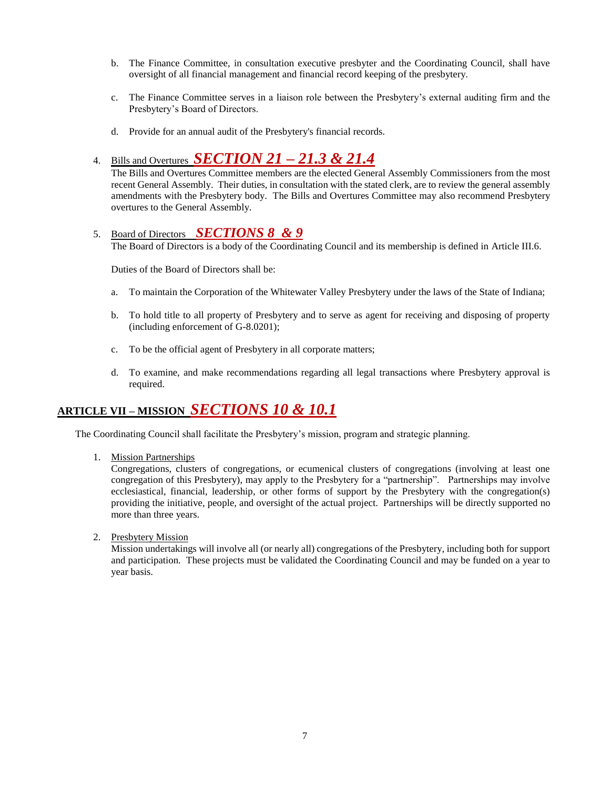- b. The Finance Committee, in consultation executive presbyter and the Coordinating Council, shall have oversight of all financial management and financial record keeping of the presbytery.
- c. The Finance Committee serves in a liaison role between the Presbytery's external auditing firm and the Presbytery's Board of Directors.
- d. Provide for an annual audit of the Presbytery's financial records.

# 4. Bills and Overtures *SECTION 21 – 21.3 & 21.4*

The Bills and Overtures Committee members are the elected General Assembly Commissioners from the most recent General Assembly. Their duties, in consultation with the stated clerk, are to review the general assembly amendments with the Presbytery body. The Bills and Overtures Committee may also recommend Presbytery overtures to the General Assembly.

### 5. Board of Directors *SECTIONS 8 & 9*

The Board of Directors is a body of the Coordinating Council and its membership is defined in Article III.6.

Duties of the Board of Directors shall be:

- a. To maintain the Corporation of the Whitewater Valley Presbytery under the laws of the State of Indiana;
- b. To hold title to all property of Presbytery and to serve as agent for receiving and disposing of property (including enforcement of G-8.0201);
- c. To be the official agent of Presbytery in all corporate matters;
- d. To examine, and make recommendations regarding all legal transactions where Presbytery approval is required.

# **ARTICLE VII – MISSION** *SECTIONS 10 & 10.1*

The Coordinating Council shall facilitate the Presbytery's mission, program and strategic planning.

1. Mission Partnerships

Congregations, clusters of congregations, or ecumenical clusters of congregations (involving at least one congregation of this Presbytery), may apply to the Presbytery for a "partnership". Partnerships may involve ecclesiastical, financial, leadership, or other forms of support by the Presbytery with the congregation(s) providing the initiative, people, and oversight of the actual project. Partnerships will be directly supported no more than three years.

2. Presbytery Mission

Mission undertakings will involve all (or nearly all) congregations of the Presbytery, including both for support and participation. These projects must be validated the Coordinating Council and may be funded on a year to year basis.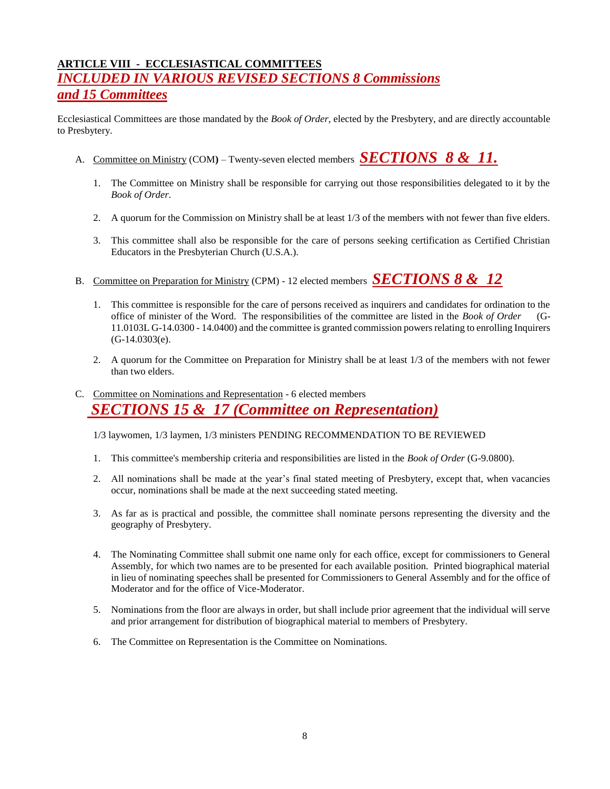# **ARTICLE VIII - ECCLESIASTICAL COMMITTEES** *INCLUDED IN VARIOUS REVISED SECTIONS 8 Commissions and 15 Committees*

Ecclesiastical Committees are those mandated by the *Book of Order*, elected by the Presbytery, and are directly accountable to Presbytery.

- A. Committee on Ministry (COM**)** Twenty-seven elected members *SECTIONS 8 & 11.*
	- 1. The Committee on Ministry shall be responsible for carrying out those responsibilities delegated to it by the *Book of Order*.
	- 2. A quorum for the Commission on Ministry shall be at least 1/3 of the members with not fewer than five elders.
	- 3. This committee shall also be responsible for the care of persons seeking certification as Certified Christian Educators in the Presbyterian Church (U.S.A.).
- B. Committee on Preparation for Ministry (CPM) 12 elected members *SECTIONS 8 & 12*
	- 1. This committee is responsible for the care of persons received as inquirers and candidates for ordination to the office of minister of the Word. The responsibilities of the committee are listed in the *Book of Order* (G-11.0103L G-14.0300 - 14.0400) and the committee is granted commission powers relating to enrolling Inquirers (G-14.0303(e).
	- 2. A quorum for the Committee on Preparation for Ministry shall be at least 1/3 of the members with not fewer than two elders.

# C. Committee on Nominations and Representation - 6 elected members  *SECTIONS 15 & 17 (Committee on Representation)*

1/3 laywomen, 1/3 laymen, 1/3 ministers PENDING RECOMMENDATION TO BE REVIEWED

- 1. This committee's membership criteria and responsibilities are listed in the *Book of Order* (G-9.0800).
- 2. All nominations shall be made at the year's final stated meeting of Presbytery, except that, when vacancies occur, nominations shall be made at the next succeeding stated meeting.
- 3. As far as is practical and possible, the committee shall nominate persons representing the diversity and the geography of Presbytery.
- 4. The Nominating Committee shall submit one name only for each office, except for commissioners to General Assembly, for which two names are to be presented for each available position. Printed biographical material in lieu of nominating speeches shall be presented for Commissioners to General Assembly and for the office of Moderator and for the office of Vice-Moderator.
- 5. Nominations from the floor are always in order, but shall include prior agreement that the individual will serve and prior arrangement for distribution of biographical material to members of Presbytery.
- 6. The Committee on Representation is the Committee on Nominations.